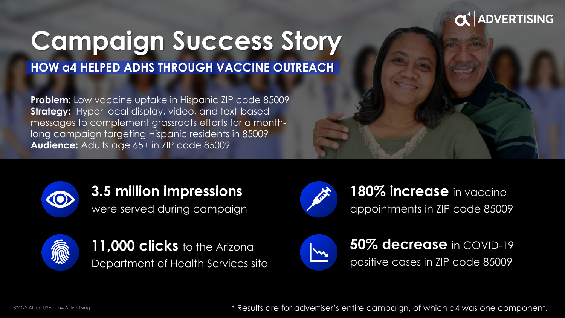### **DVERTISING**

# **Campaign Success Story**

**HOW a4 HELPED ADHS THROUGH VACCINE OUTREACH**

**Problem:** Low vaccine uptake in Hispanic ZIP code 85009 **Strategy:** Hyper-local display, video, and text-based messages to complement grassroots efforts for a monthlong campaign targeting Hispanic residents in 85009 **Audience:** Adults age 65+ in ZIP code 85009



## **3.5 million impressions**

were served during campaign



11,000 clicks to the Arizona Department of Health Services site



180% **increase** in vaccine appointments in ZIP code 85009



**50% decrease** in COVID-19 positive cases in ZIP code 85009

\* Results are for advertiser's entire campaign, of which a4 was one component.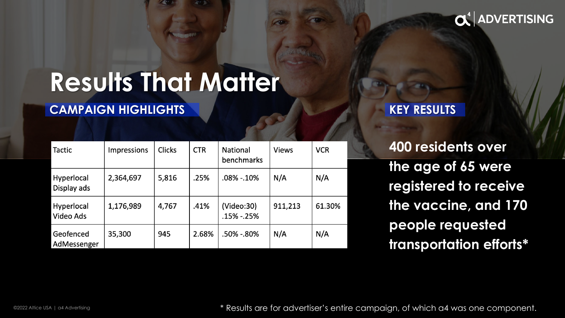### $\mathbf{C}^4$  ADVERTISING

# **Results That Matter**

#### **CAMPAIGN HIGHLIGHTS**

| <b>Tactic</b>             | Impressions | <b>Clicks</b> | <b>CTR</b> | National<br>benchmarks   | <b>Views</b> | <b>VCR</b> |
|---------------------------|-------------|---------------|------------|--------------------------|--------------|------------|
| Hyperlocal<br>Display ads | 2,364,697   | 5,816         | .25%       | .08% -.10%               | N/A          | N/A        |
| Hyperlocal<br>Video Ads   | 1,176,989   | 4,767         | .41%       | (Video:30)<br>.15% -.25% | 911,213      | 61.30%     |
| Geofenced<br>AdMessenger  | 35,300      | 945           | 2.68%      | .50% -.80%               | N/A          | N/A        |

#### **KEY RESULTS**

**400 residents over the age of 65 were registered to receive the vaccine, and 170 people requested transportation efforts\*** 

\* Results are for advertiser's entire campaign, of which a4 was one component.